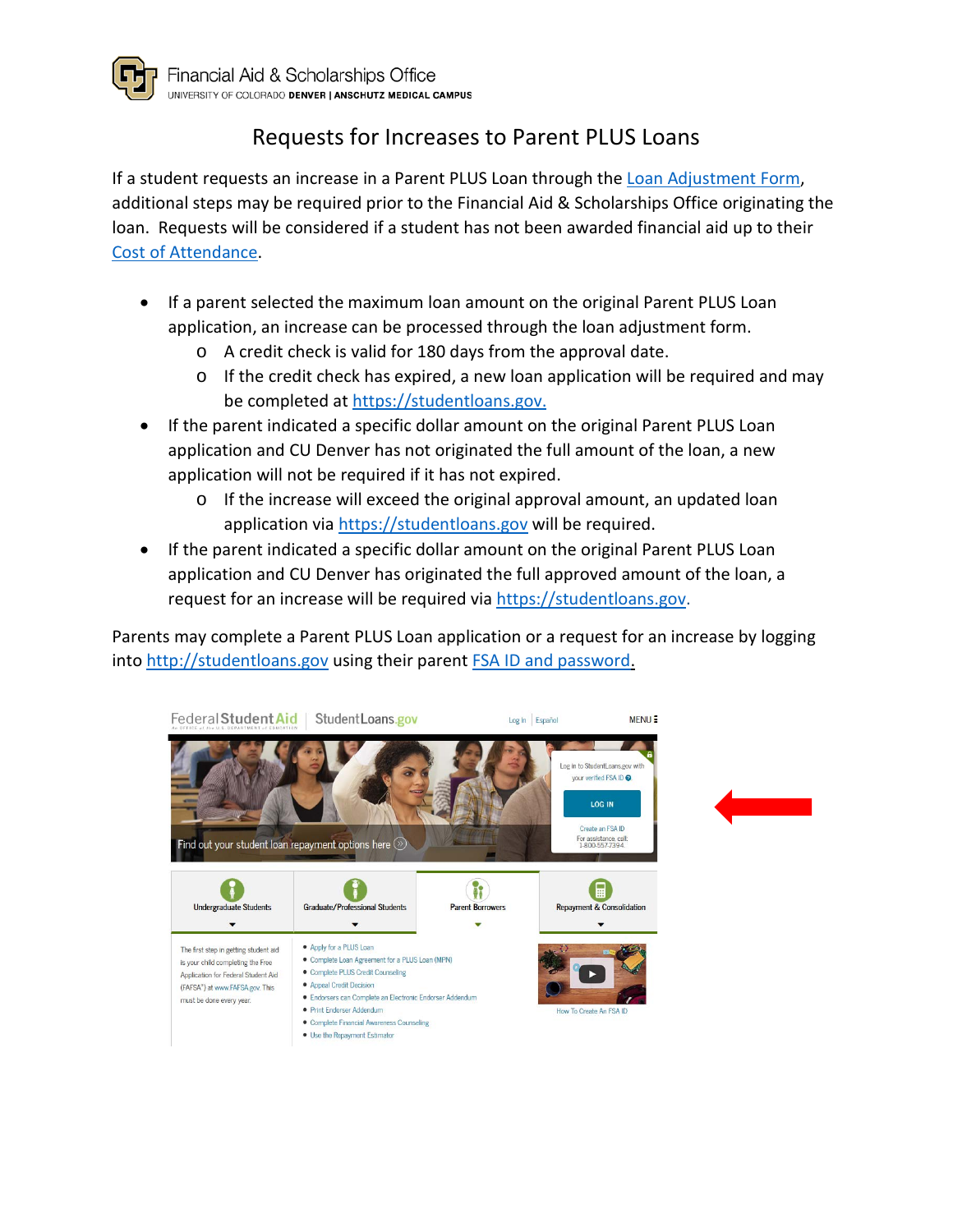

# Requests for Increases to Parent PLUS Loans

If a student requests an increase in a Parent PLUS Loan through th[e Loan Adjustment Form,](http://www.ucdenver.edu/student-services/resources/CostsAndFinancing/FASO/Do/Pages/Forms.aspx) additional steps may be required prior to the Financial Aid & Scholarships Office originating the loan. Requests will be considered if a student has not been awarded financial aid up to their [Cost of Attendance.](http://www.ucdenver.edu/student-services/resources/CostsAndFinancing/FASO/Learn/Pages/CostofAttendance.aspx)

- If a parent selected the maximum loan amount on the original Parent PLUS Loan application, an increase can be processed through the loan adjustment form.
	- o A credit check is valid for 180 days from the approval date.
	- o If the credit check has expired, a new loan application will be required and may be completed at [https://studentloans.gov.](https://studentloans.gov/)
- If the parent indicated a specific dollar amount on the original Parent PLUS Loan application and CU Denver has not originated the full amount of the loan, a new application will not be required if it has not expired.
	- o If the increase will exceed the original approval amount, an updated loan application via [https://studentloans.gov](https://studentloans.gov/) will be required.
- If the parent indicated a specific dollar amount on the original Parent PLUS Loan application and CU Denver has originated the full approved amount of the loan, a request for an increase will be required via [https://studentloans.gov.](https://studentloans.gov/)

Parents may complete a Parent PLUS Loan application or a request for an increase by logging into [http://studentloans.gov](http://studentloans.gov/) using their parent [FSA ID and password.](https://studentaid.ed.gov/sa/fafsa/filling-out/fsaid)

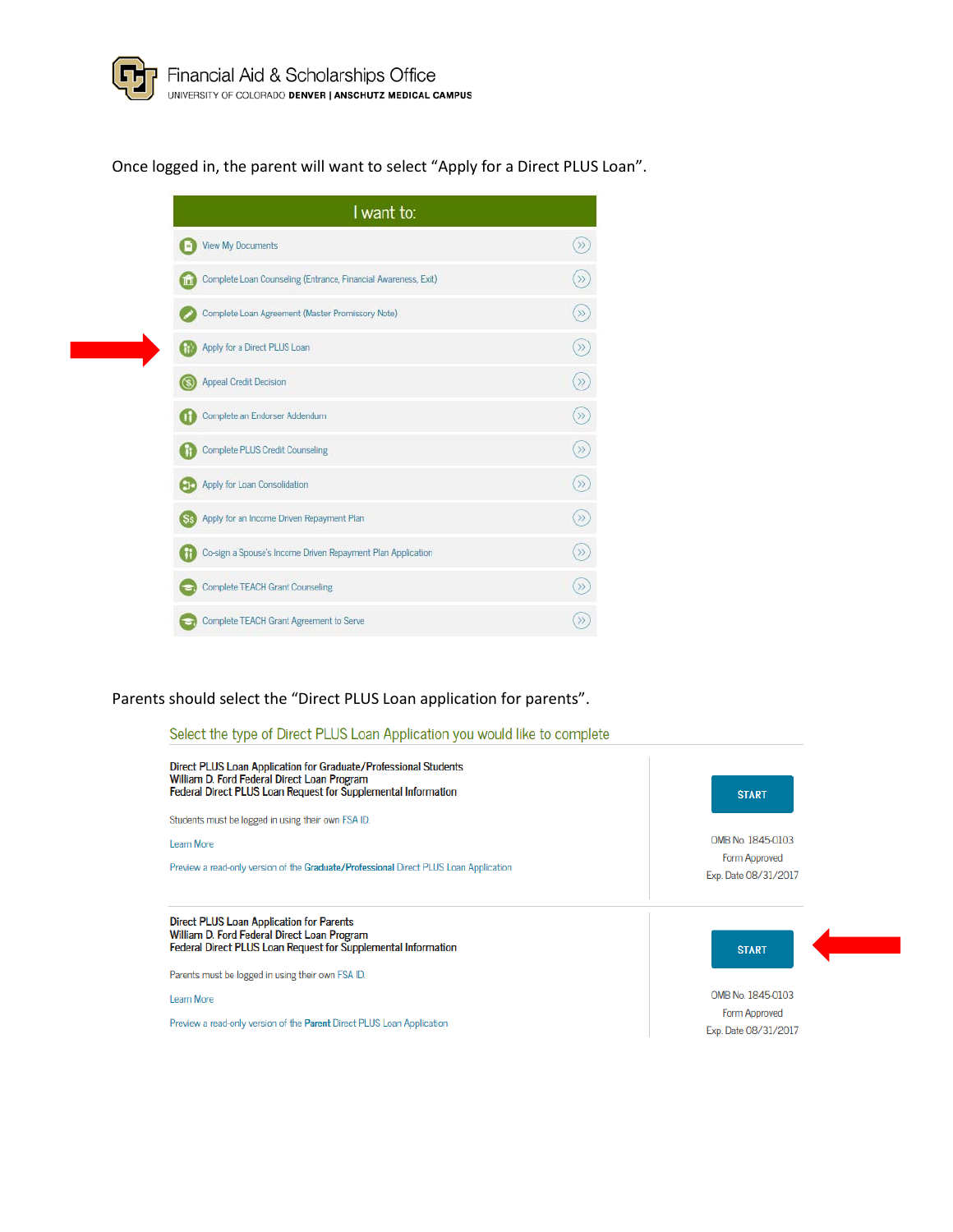Once logged in, the parent will want to select "Apply for a Direct PLUS Loan".

| I want to:                                                            |       |
|-----------------------------------------------------------------------|-------|
| View My Documents                                                     |       |
| <b>Complete Loan Counseling (Entrance, Financial Awareness, Exit)</b> | $\gg$ |
| Complete Loan Agreement (Master Promissory Note)                      | $\gg$ |
| Apply for a Direct PLUS Loan                                          | $\gg$ |
| Appeal Credit Decision                                                | $\gg$ |
| Complete an Endorser Addendum                                         | $\gg$ |
| Complete PLUS Credit Counseling                                       | $\gg$ |
| <b>Apply for Loan Consolidation</b>                                   | $\gg$ |
| Ss. Apply for an Income Driven Repayment Plan                         | $\gg$ |
| <b>11 Co-sign a Spouse's Income Driven Repayment Plan Application</b> | $\gg$ |
| Complete TEACH Grant Counseling                                       |       |
| Complete TEACH Grant Agreement to Serve                               |       |

### Parents should select the "Direct PLUS Loan application for parents".

#### Select the type of Direct PLUS Loan Application you would like to complete

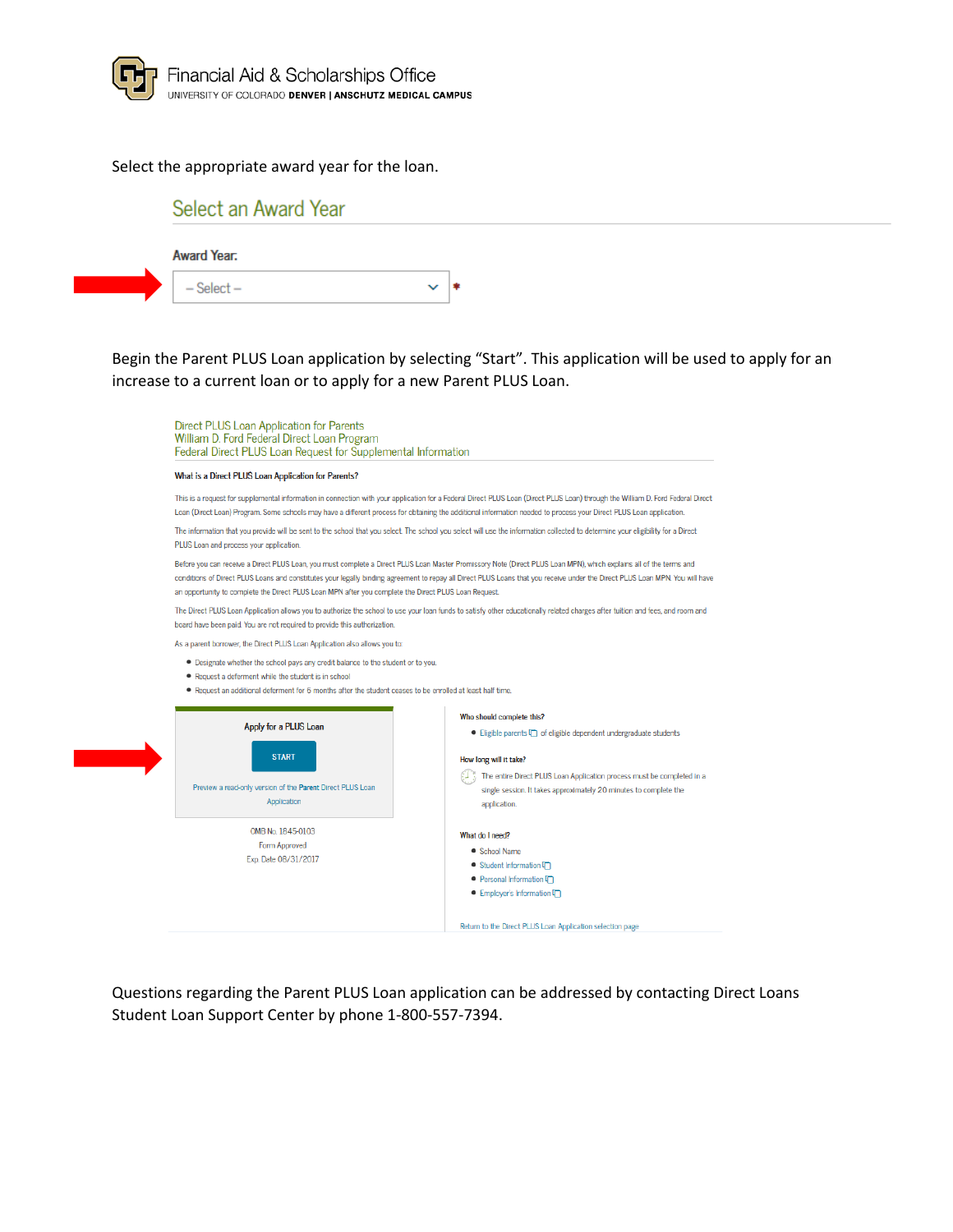

### Select the appropriate award year for the loan.

## Select an Award Year

| <b>Award Year.</b> |  |
|--------------------|--|
| $-$ Select $-$     |  |

Begin the Parent PLUS Loan application by selecting "Start". This application will be used to apply for an increase to a current loan or to apply for a new Parent PLUS Loan.

Direct PLUS Loan Application for Parents William D. Ford Federal Direct Loan Program Federal Direct PLUS Loan Request for Supplemental Information What is a Direct PLUS Loan Application for Parents? This is a request for supplemental information in connection with your application for a Federal Direct PLUS Loan (Direct PLUS Loan) through the William D. Ford Federal Direct Loan (Direct Loan) Program. Some schools may have a different process for obtaining the additional information needed to process your Direct PLUS Loan application. The information that you provide will be sent to the school that you select. The school you select will use the information collected to determine your eligibility for a Direct PLUS Loan and process your application. Before you can receive a Direct PLUS Loan, you must complete a Direct PLUS Loan Master Promissory Note (Direct PLUS Loan MPN), which explains all of the terms and conditions of Direct PLUS Loans and constitutes your legally binding agreement to repay all Direct PLUS Loans that you receive under the Direct PLUS Loan MPN. You will have an opportunity to complete the Direct PLUS Loan MPN after you complete the Direct PLUS Loan Request. The Direct PLUS Loan Application allows you to authorize the school to use your loan funds to satisfy other educationally related charges after tuition and fees, and room and board have been paid. You are not required to provide this authorization As a parent borrower, the Direct PLUS Loan Application also allows you to: · Designate whether the school pays any credit balance to the student or to you. • Request a deferment while the student is in school . Request an additional deferment for 6 months after the student ceases to be enrolled at least half time Who should complete this? Apply for a PLUS Loan • Eligible parents  $\Box$  of eligible dependent undergraduate students **START** How long will it take?  $\left(\begin{matrix} \cdot & \cdot & \cdot \\ \cdot & \cdot & \cdot \end{matrix}\right)$  The entire Direct PLUS Loan Application process must be completed in a Preview a read-only version of the Parent Direct PLUS Loan single session. It takes approximately 20 minutes to complete the Application application. OMB No. 1845-0103 What do I need? Form Approved • School Name Exp. Date 08/31/2017 ● Student Information  $\Box$ ● Personal Information ● Employer's Information

Questions regarding the Parent PLUS Loan application can be addressed by contacting Direct Loans Student Loan Support Center by phone 1-800-557-7394.

Return to the Direct PLUS Loan Application selection page